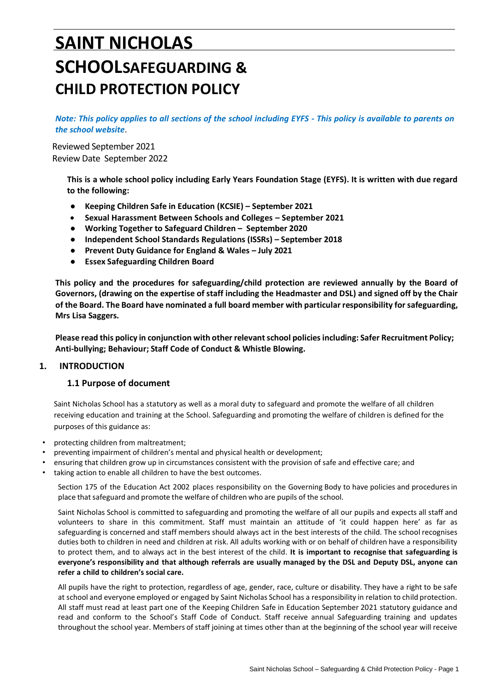# **SAINT NICHOLAS SCHOOLSAFEGUARDING & CHILD PROTECTION POLICY**

Note: This policy applies to all sections of the school including EYFS - This policy is available to parents on *the school [website](http://www.saintnicholasschool.net/policies.html)*.

Reviewed September 2021 Review Date September 2022

> This is a whole school policy including Early Years Foundation Stage (EYFS). It is written with due regard **to the following:**

- **Keeping Children Safe in Education (KCSIE) – September 2021**
- **Sexual Harassment Between Schools and Colleges – September 2021**
- **Working Together to Safeguard Children – September 2020**
- **Independent School Standards Regulations (ISSRs) – September 2018**
- **Prevent Duty Guidance for England & Wales – July 2021**
- **Essex Safeguarding Children Board**

**This policy and the procedures for safeguarding/child protection are reviewed annually by the Board of**  Governors, (drawing on the expertise of staff including the Headmaster and DSL) and signed off by the Chair **of the Board. The Board have nominated a full board member with particular responsibility forsafeguarding, Mrs Lisa Saggers.**

**Please read this policy in conjunction with other relevantschool policiesincluding: Safer Recruitment Policy; Anti-bullying; Behaviour; Staff Code of Conduct & Whistle Blowing.**

## **1. INTRODUCTION**

## **1.1 Purpose of document**

Saint Nicholas School has a statutory as well as a moral duty to safeguard and promote the welfare of all children receiving education and training at the School. Safeguarding and promoting the welfare of children is defined for the purposes of this guidance as:

- protecting children from maltreatment;
- preventing impairment of children's mental and physical health or development;
- ensuring that children grow up in circumstances consistent with the provision of safe and effective care; and
- taking action to enable all children to have the best outcomes.

Section 175 of the Education Act 2002 places responsibility on the Governing Body to have policies and proceduresin place thatsafeguard and promote the welfare of children who are pupils of the school.

Saint Nicholas School is committed to safeguarding and promoting the welfare of all our pupils and expects all staff and volunteers to share in this commitment. Staff must maintain an attitude of 'it could happen here' as far as safeguarding is concerned and staff members should always act in the best interests of the child. The school recognises duties both to children in need and children at risk. All adults working with or on behalf of children have a responsibility to protect them, and to always act in the best interest of the child. **It is important to recognise that safeguarding is** everyone's responsibility and that although referrals are usually managed by the DSL and Deputy DSL, anyone can **refer a child to children's social care.**

All pupils have the right to protection, regardless of age, gender, race, culture or disability. They have a right to be safe at school and everyone employed or engaged by Saint Nicholas School has a responsibility in relation to child protection. All staff must read at least part one of the Keeping Children Safe in Education September 2021 statutory guidance and read and conform to the School's Staff Code of Conduct. Staff receive annual Safeguarding training and updates throughout the school year. Members of staff joining at times other than at the beginning of the school year will receive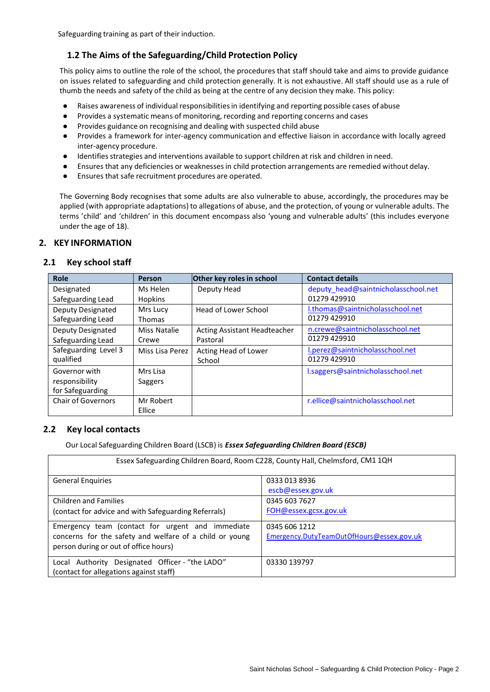Safeguarding training as part of their induction.

# **1.2 The Aims of the Safeguarding/Child Protection Policy**

This policy aims to outline the role of the school, the procedures that staff should take and aims to provide guidance on issues related to safeguarding and child protection generally. It is not exhaustive. All staff should use as a rule of thumb the needs and safety of the child as being at the centre of any decision they make. This policy:

- Raises awareness of individual responsibilities in identifying and reporting possible cases of abuse
- Provides a systematic means of monitoring, recording and reporting concerns and cases
- Provides guidance on recognising and dealing with suspected child abuse
- Provides a framework for inter-agency communication and effective liaison in accordance with locally agreed inter-agency procedure.
- Identifies strategies and interventions available to support children at risk and children in need.
- Ensures that any deficiencies or weaknesses in child protection arrangements are remedied without delay.
- Ensures that safe recruitment procedures are operated.

The Governing Body recognises that some adults are also vulnerable to abuse, accordingly, the procedures may be applied (with appropriate adaptations) to allegations of abuse, and the protection, of young or vulnerable adults. The terms 'child' and 'children' in this document encompass also 'young and vulnerable adults' (this includes everyone under the age of 18).

# **2. KEY INFORMATION**

# **2.1 Key school staff**

| Role                      | <b>Person</b>   | Other key roles in school    | <b>Contact details</b>              |
|---------------------------|-----------------|------------------------------|-------------------------------------|
| Designated                | Ms Helen        | Deputy Head                  | deputy head@saintnicholasschool.net |
| Safeguarding Lead         | <b>Hopkins</b>  |                              | 01279 429910                        |
| Deputy Designated         | Mrs Lucy        | Head of Lower School         | l.thomas@saintnicholasschool.net    |
| Safeguarding Lead         | <b>Thomas</b>   |                              | 01279 429910                        |
| <b>Deputy Designated</b>  | Miss Natalie    | Acting Assistant Headteacher | n.crewe@saintnicholasschool.net     |
| Safeguarding Lead         | Crewe           | Pastoral                     | 01279 429910                        |
| Safeguarding Level 3      | Miss Lisa Perez | Acting Head of Lower         | l.perez@saintnicholasschool.net     |
| qualified                 |                 | School                       | 01279 429910                        |
| Governor with             | Mrs Lisa        |                              | l.saggers@saintnicholasschool.net   |
| responsibility            | Saggers         |                              |                                     |
| for Safeguarding          |                 |                              |                                     |
| <b>Chair of Governors</b> | Mr Robert       |                              | r.ellice@saintnicholasschool.net    |
|                           | Ellice          |                              |                                     |

## **2.2 Key local contacts**

Our Local Safeguarding Children Board (LSCB) is *Essex Safeguarding Children Board (ESCB)*

| Essex Safeguarding Children Board, Room C228, County Hall, Chelmsford, CM1 1QH                   |                                           |  |  |
|--------------------------------------------------------------------------------------------------|-------------------------------------------|--|--|
| <b>General Enquiries</b>                                                                         | 0333 013 8936<br>escb@essex.gov.uk        |  |  |
| <b>Children and Families</b>                                                                     | 0345 603 7627                             |  |  |
| (contact for advice and with Safeguarding Referrals)                                             | FOH@essex.gcsx.gov.uk                     |  |  |
| Emergency team (contact for urgent and immediate                                                 | 0345 606 1212                             |  |  |
| concerns for the safety and welfare of a child or young<br>person during or out of office hours) | Emergency.DutyTeamOutOfHours@essex.gov.uk |  |  |
| Local Authority Designated Officer - "the LADO"<br>(contact for allegations against staff)       | 03330 139797                              |  |  |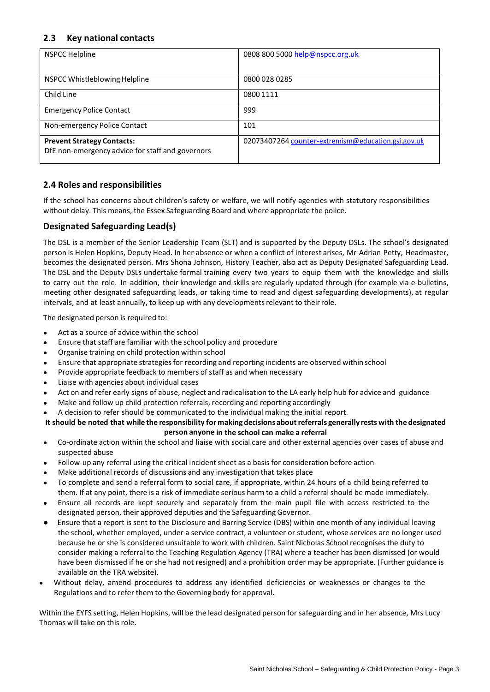# **2.3 Key national contacts**

| NSPCC Helpline                                                                        | 0808 800 5000 help@nspcc.org.uk                    |
|---------------------------------------------------------------------------------------|----------------------------------------------------|
| NSPCC Whistleblowing Helpline                                                         | 0800 028 0285                                      |
| Child Line                                                                            | 0800 1111                                          |
| <b>Emergency Police Contact</b>                                                       | 999                                                |
| Non-emergency Police Contact                                                          | 101                                                |
| <b>Prevent Strategy Contacts:</b><br>DfE non-emergency advice for staff and governors | 02073407264 counter-extremism@education.gsi.gov.uk |

# **2.4 Roles and responsibilities**

If the school has concerns about children's safety or welfare, we will notify agencies with statutory responsibilities without delay. This means, the Essex Safeguarding Board and where appropriate the police.

# **Designated Safeguarding Lead(s)**

The DSL is a member of the Senior Leadership Team (SLT) and is supported by the Deputy DSLs. The school's designated person is Helen Hopkins, Deputy Head. In her absence or when a conflict of interest arises, Mr Adrian Petty, Headmaster, becomes the designated person. Mrs Shona Johnson, History Teacher, also act as Deputy Designated Safeguarding Lead. The DSL and the Deputy DSLs undertake formal training every two years to equip them with the knowledge and skills to carry out the role. In addition, their knowledge and skills are regularly updated through (for example via e-bulletins, meeting other designated safeguarding leads, or taking time to read and digest safeguarding developments), at regular intervals, and at least annually, to keep up with any developments relevant to their role.

The designated person is required to:

- Act as a source of advice within the school
- Ensure that staff are familiar with the school policy and procedure
- Organise training on child protection within school
- Ensure that appropriate strategies for recording and reporting incidents are observed within school
- Provide appropriate feedback to members of staff as and when necessary
- Liaise with agencies about individual cases
- Act on and refer early signs of abuse, neglect and radicalisation to the LA early help hub for advice and guidance
- Make and follow up child protection referrals, recording and reporting accordingly
- A decision to refer should be communicated to the individual making the initial report.

It should be noted that while the responsibility for making decisions about referrals generally rests with the designated **person anyone in the school can make a referral**

- Co-ordinate action within the school and liaise with social care and other external agencies over cases of abuse and suspected abuse
- Follow-up any referral using the critical incident sheet as a basis for consideration before action
- Make additional records of discussions and any investigation that takes place
- To complete and send a referral form to social care, if appropriate, within 24 hours of a child being referred to them. If at any point, there is a risk of immediate serious harm to a child a referral should be made immediately.
- Ensure all records are kept securely and separately from the main pupil file with access restricted to the designated person, their approved deputies and the Safeguarding Governor.
- Ensure that a report is sent to the Disclosure and Barring Service (DBS) within one month of any individual leaving the school, whether employed, under a service contract, a volunteer or student, whose services are no longer used because he or she is considered unsuitable to work with children. Saint Nicholas School recognises the duty to consider making a referral to the Teaching Regulation Agency (TRA) where a teacher has been dismissed (or would have been dismissed if he or she had not resigned) and a prohibition order may be appropriate. (Further guidance is available on the TRA website).
- Without delay, amend procedures to address any identified deficiencies or weaknesses or changes to the Regulations and to refer them to the Governing body for approval.

Within the EYFS setting, Helen Hopkins, will be the lead designated person for safeguarding and in her absence, Mrs Lucy Thomas will take on this role.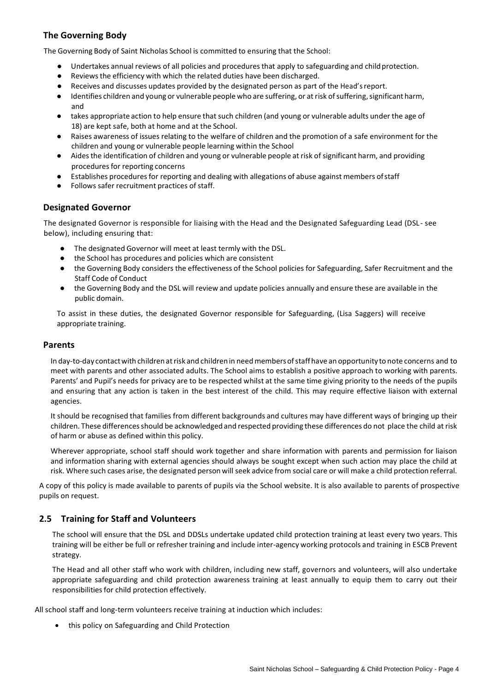# **The Governing Body**

The Governing Body of Saint Nicholas School is committed to ensuring that the School:

- Undertakes annual reviews of all policies and procedures that apply to safeguarding and child protection.
- Reviews the efficiency with which the related duties have been discharged.
- Receives and discusses updates provided by the designated person as part of the Head's report.
- Identifies children and young or vulnerable people who are suffering, or at risk of suffering, significant harm, and
- takes appropriate action to help ensure that such children (and young or vulnerable adults under the age of 18) are kept safe, both at home and at the School.
- Raises awareness of issues relating to the welfare of children and the promotion of a safe environment for the children and young or vulnerable people learning within the School
- Aides the identification of children and young or vulnerable people at risk of significant harm, and providing procedures for reporting concerns
- Establishes procedures for reporting and dealing with allegations of abuse against members of staff
- Follows safer recruitment practices of staff.

# **Designated Governor**

The designated Governor is responsible for liaising with the Head and the Designated Safeguarding Lead (DSL-see below), including ensuring that:

- The designated Governor will meet at least termly with the DSL.
- the School has procedures and policies which are consistent
- the Governing Body considers the effectiveness of the School policies for Safeguarding, Safer Recruitment and the Staff Code of Conduct
- the Governing Body and the DSL will review and update policies annually and ensure these are available in the public domain.

To assist in these duties, the designated Governor responsible for Safeguarding, (Lisa Saggers) will receive appropriate training.

## **Parents**

In day-to-day contact with children at risk and children in need members of staff have an opportunity to note concerns and to meet with parents and other associated adults. The School aims to establish a positive approach to working with parents. Parents' and Pupil's needs for privacy are to be respected whilst at the same time giving priority to the needs of the pupils and ensuring that any action is taken in the best interest of the child. This may require effective liaison with external agencies.

It should be recognised that families from different backgrounds and cultures may have different ways of bringing up their children. These differencesshould be acknowledgedand respected providing these differences do not place the child at risk of harm or abuse as defined within this policy.

Wherever appropriate, school staff should work together and share information with parents and permission for liaison and information sharing with external agencies should always be sought except when such action may place the child at risk. Where such cases arise, the designated person will seek advice from social care or will make a child protection referral.

A copy of this policy is made available to parents of pupils via the School website. It is also available to parents of prospective pupils on request.

## **2.5 Training for Staff and Volunteers**

The school will ensure that the DSL and DDSLs undertake updated child protection training at least every two years. This training will be either be full or refresher training and include inter-agency working protocols and training in ESCB Prevent strategy.

The Head and all other staff who work with children, including new staff, governors and volunteers, will also undertake appropriate safeguarding and child protection awareness training at least annually to equip them to carry out their responsibilities for child protection effectively.

All school staff and long-term volunteers receive training at induction which includes:

• this policy on Safeguarding and Child Protection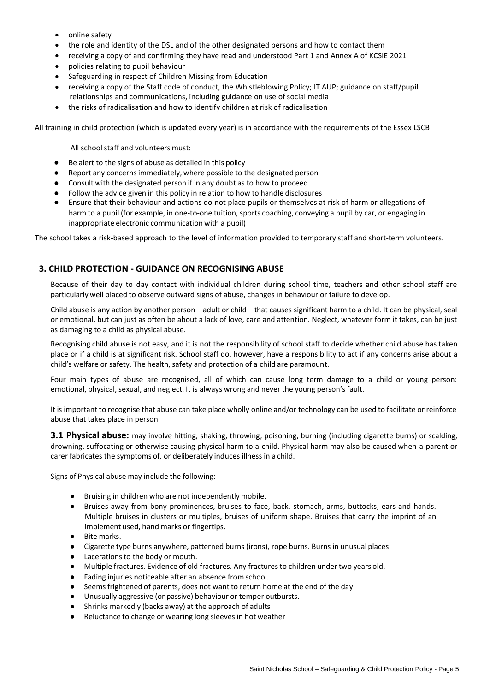- online safety
- the role and identity of the DSL and of the other designated persons and how to contact them
- receiving a copy of and confirming they have read and understood Part 1 and Annex A of KCSIE 2021
- policies relating to pupil behaviour
- Safeguarding in respect of Children Missing from Education
- receiving a copy of the Staff code of conduct, the Whistleblowing Policy; IT AUP; guidance on staff/pupil relationships and communications, including guidance on use of social media
- the risks of radicalisation and how to identify children at risk of radicalisation

All training in child protection (which is updated every year) is in accordance with the requirements of the Essex LSCB.

All school staff and volunteers must:

- Be alert to the signs of abuse as detailed in this policy
- Report any concerns immediately, where possible to the designated person
- Consult with the designated person if in any doubt as to how to proceed
- Follow the advice given in this policy in relation to how to handle disclosures
- Ensure that their behaviour and actions do not place pupils or themselves at risk of harm or allegations of harm to a pupil (for example, in one-to-one tuition, sports coaching, conveying a pupil by car, or engaging in inappropriate electronic communication with a pupil)

The school takes a risk-based approach to the level of information provided to temporary staff and short-term volunteers.

## **3. CHILD PROTECTION - GUIDANCE ON RECOGNISING ABUSE**

Because of their day to day contact with individual children during school time, teachers and other school staff are particularly well placed to observe outward signs of abuse, changes in behaviour or failure to develop.

Child abuse is any action by another person – adult or child – that causes significant harm to a child. It can be physical, seal or emotional, but can just as often be about a lack of love, care and attention. Neglect, whatever form it takes, can be just as damaging to a child as physical abuse.

Recognising child abuse is not easy, and it is not the responsibility of school staff to decide whether child abuse has taken place or if a child is at significant risk. School staff do, however, have a responsibility to act if any concerns arise about a child's welfare or safety. The health, safety and protection of a child are paramount.

Four main types of abuse are recognised, all of which can cause long term damage to a child or young person: emotional, physical, sexual, and neglect. It is always wrong and never the young person's fault.

It is important to recognise that abuse can take place wholly online and/or technology can be used to facilitate or reinforce abuse that takes place in person.

**3.1 Physical abuse:** may involve hitting, shaking, throwing, poisoning, burning (including cigarette burns) or scalding, drowning, suffocating or otherwise causing physical harm to a child. Physical harm may also be caused when a parent or carer fabricates the symptoms of, or deliberately induces illness in a child.

Signs of Physical abuse may include the following:

- Bruising in children who are not independently mobile.
- Bruises away from bony prominences, bruises to face, back, stomach, arms, buttocks, ears and hands. Multiple bruises in clusters or multiples, bruises of uniform shape. Bruises that carry the imprint of an implement used, hand marks or fingertips.
- Bite marks.
- Cigarette type burns anywhere, patterned burns (irons), rope burns. Burns in unusual places.
- Lacerations to the body or mouth.
- Multiple fractures. Evidence of old fractures. Any fractures to children under two years old.
- Fading injuries noticeable after an absence from school.
- Seems frightened of parents, does not want to return home at the end of the day.
- Unusually aggressive (or passive) behaviour or temper outbursts.
- Shrinks markedly (backs away) at the approach of adults
- Reluctance to change or wearing long sleeves in hot weather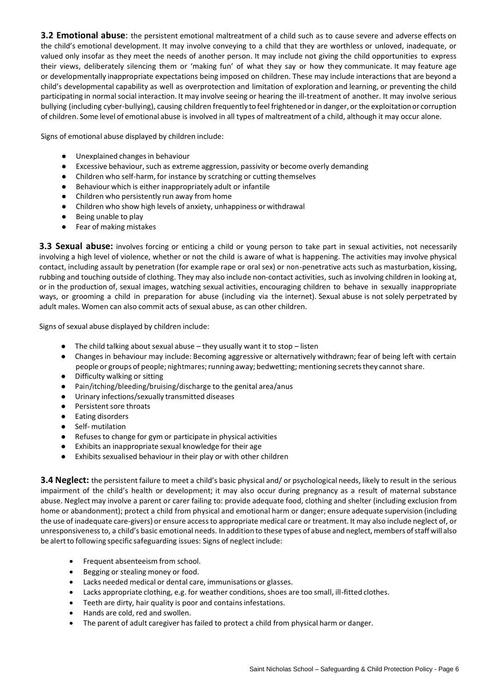**3.2 Emotional abuse**: the persistent emotional maltreatment of a child such as to cause severe and adverse effects on the child's emotional development. It may involve conveying to a child that they are worthless or unloved, inadequate, or valued only insofar as they meet the needs of another person. It may include not giving the child opportunities to express their views, deliberately silencing them or 'making fun' of what they say or how they communicate. It may feature age or developmentally inappropriate expectations being imposed on children. These may include interactions that are beyond a child's developmental capability as well as overprotection and limitation of exploration and learning, or preventing the child participating in normal social interaction. It may involve seeing or hearing the ill-treatment of another. It may involve serious bullying (including cyber-bullying), causing children frequently to feel frightenedor in danger, or the exploitationor corruption of children. Some level of emotional abuse is involved in all types of maltreatment of a child, although it may occur alone.

Signs of emotional abuse displayed by children include:

- Unexplained changesin behaviour
- Excessive behaviour, such as extreme aggression, passivity or become overly demanding
- Children who self-harm, for instance by scratching or cutting themselves
- Behaviour which is either inappropriately adult or infantile
- Children who persistently run away from home
- Children who show high levels of anxiety, unhappiness or withdrawal
- Being unable to play
- Fear of making mistakes

**3.3 Sexual abuse:** involves forcing or enticing a child or young person to take part in sexual activities, not necessarily involving a high level of violence, whether or not the child is aware of what is happening. The activities may involve physical contact, including assault by penetration (for example rape or oral sex) or non-penetrative acts such as masturbation, kissing, rubbing and touching outside of clothing. They may also include non-contact activities, such as involving children in looking at, or in the production of, sexual images, watching sexual activities, encouraging children to behave in sexually inappropriate ways, or grooming a child in preparation for abuse (including via the internet). Sexual abuse is not solely perpetrated by adult males. Women can also commit acts of sexual abuse, as can other children.

Signs of sexual abuse displayed by children include:

- The child talking about sexual abuse they usually want it to stop listen
- Changes in behaviour may include: Becoming aggressive or alternatively withdrawn; fear of being left with certain people or groups of people; nightmares; running away; bedwetting; mentioning secrets they cannot share.
- Difficulty walking or sitting
- Pain/itching/bleeding/bruising/discharge to the genital area/anus
- Urinary infections/sexually transmitted diseases
- Persistent sore throats
- Eating disorders
- Self- mutilation
- Refuses to change for gym or participate in physical activities
- Exhibits an inappropriate sexual knowledge for their age
- Exhibits sexualised behaviour in their play or with other children

**3.4 Neglect:** the persistent failure to meet a child's basic physical and/ or psychological needs, likely to result in the serious impairment of the child's health or development; it may also occur during pregnancy as a result of maternal substance abuse. Neglect may involve a parent or carer failing to: provide adequate food, clothing and shelter (including exclusion from home or abandonment); protect a child from physical and emotional harm or danger; ensure adequate supervision (including the use of inadequate care-givers) or ensure accessto appropriate medical care or treatment. It may also include neglect of, or unresponsiveness to, a child's basic emotional needs. In addition to these types of abuse and neglect, members of staff will also be alert to following specific safeguarding issues: Signs of neglect include:

- Frequent absenteeism from school.
- Begging or stealing money or food.
- Lacks needed medical or dental care, immunisations or glasses.
- Lacks appropriate clothing, e.g. for weather conditions, shoes are too small, ill-fitted clothes.
- Teeth are dirty, hair quality is poor and contains infestations.
- Hands are cold, red and swollen.
- The parent of adult caregiver has failed to protect a child from physical harm or danger.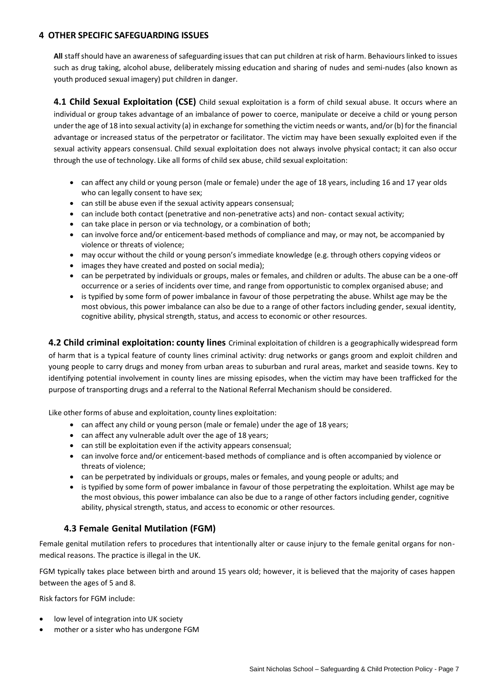## **4 OTHER SPECIFIC SAFEGUARDING ISSUES**

All staff should have an awareness of safeguarding issues that can put children at risk of harm. Behaviours linked to issues such as drug taking, alcohol abuse, deliberately missing education and sharing of nudes and semi-nudes (also known as youth produced sexual imagery) put children in danger.

**4.1 Child Sexual Exploitation (CSE)** Child sexual exploitation is a form of child sexual abuse. It occurs where an individual or group takes advantage of an imbalance of power to coerce, manipulate or deceive a child or young person under the age of 18 into sexual activity (a) in exchange for something the victim needs or wants, and/or(b) for the financial advantage or increased status of the perpetrator or facilitator. The victim may have been sexually exploited even if the sexual activity appears consensual. Child sexual exploitation does not always involve physical contact; it can also occur through the use of technology. Like all forms of child sex abuse, child sexual exploitation:

- can affect any child or young person (male or female) under the age of 18 years, including 16 and 17 year olds who can legally consent to have sex;
- can still be abuse even if the sexual activity appears consensual;
- can include both contact (penetrative and non-penetrative acts) and non- contact sexual activity;
- can take place in person or via technology, or a combination of both;
- can involve force and/or enticement-based methods of compliance and may, or may not, be accompanied by violence or threats of violence;
- may occur without the child or young person's immediate knowledge (e.g. through others copying videos or
- images they have created and posted on social media);
- can be perpetrated by individuals or groups, males or females, and children or adults. The abuse can be a one-off occurrence or a series of incidents over time, and range from opportunistic to complex organised abuse; and
- is typified by some form of power imbalance in favour of those perpetrating the abuse. Whilst age may be the most obvious, this power imbalance can also be due to a range of other factors including gender, sexual identity, cognitive ability, physical strength, status, and access to economic or other resources.

**4.2 Child criminal exploitation: county lines** Criminal exploitation of children is a geographically widespread form of harm that is a typical feature of county lines criminal activity: drug networks or gangs groom and exploit children and young people to carry drugs and money from urban areas to suburban and rural areas, market and seaside towns. Key to identifying potential involvement in county lines are missing episodes, when the victim may have been trafficked for the purpose of transporting drugs and a referral to the National Referral Mechanism should be considered.

Like other forms of abuse and exploitation, county lines exploitation:

- can affect any child or young person (male or female) under the age of 18 years;
- can affect any vulnerable adult over the age of 18 years;
- can still be exploitation even if the activity appears consensual;
- can involve force and/or enticement-based methods of compliance and is often accompanied by violence or threats of violence;
- can be perpetrated by individuals or groups, males or females, and young people or adults; and
- is typified by some form of power imbalance in favour of those perpetrating the exploitation. Whilst age may be the most obvious, this power imbalance can also be due to a range of other factors including gender, cognitive ability, physical strength, status, and access to economic or other resources.

# **4.3 Female Genital Mutilation (FGM)**

Female genital mutilation refers to procedures that intentionally alter or cause injury to the female genital organs for nonmedical reasons. The practice is illegal in the UK.

FGM typically takes place between birth and around 15 years old; however, it is believed that the majority of cases happen between the ages of 5 and 8.

Risk factors for FGM include:

- low level of integration into UK society
- mother or a sister who has undergone FGM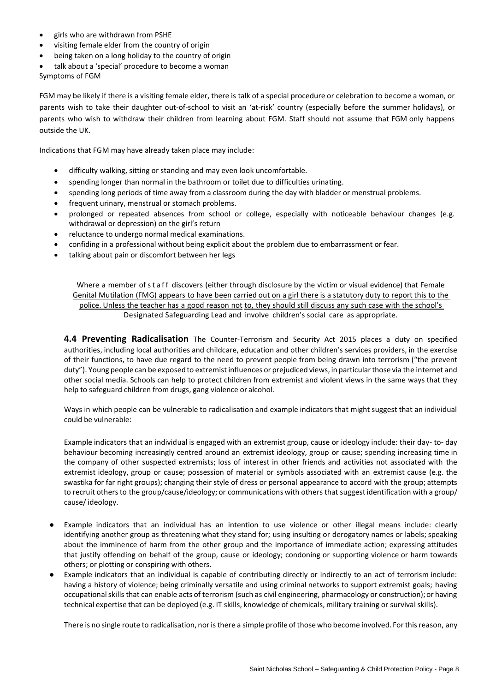- girls who are withdrawn from PSHE
- visiting female elder from the country of origin
- being taken on a long holiday to the country of origin
- talk about a 'special' procedure to become a woman

Symptoms of FGM

FGM may be likely if there is a visiting female elder, there is talk of a special procedure or celebration to become a woman, or parents wish to take their daughter out-of-school to visit an 'at-risk' country (especially before the summer holidays), or parents who wish to withdraw their children from learning about FGM. Staff should not assume that FGM only happens outside the UK.

Indications that FGM may have already taken place may include:

- difficulty walking, sitting or standing and may even look uncomfortable.
- spending longer than normal in the bathroom or toilet due to difficulties urinating.
- spending long periods of time away from a classroom during the day with bladder or menstrual problems.
- frequent urinary, menstrual or stomach problems.
- prolonged or repeated absences from school or college, especially with noticeable behaviour changes (e.g. withdrawal or depression) on the girl's return
- reluctance to undergo normal medical examinations.
- confiding in a professional without being explicit about the problem due to embarrassment or fear.
- talking about pain or discomfort between her legs

Where a member of staff discovers (either through disclosure by the victim or visual evidence) that Female Genital Mutilation (FMG) appears to have been carried out on a girl there is a statutory duty to report this to the police. Unless the teacher has a good reason not to, they should still discuss any such case with the school's Designated Safeguarding Lead and involve children's social care as appropriate.

**4.4 Preventing Radicalisation** The Counter-Terrorism and Security Act 2015 places a duty on specified authorities, including local authorities and childcare, education and other children's services providers, in the exercise of their functions, to have due regard to the need to prevent people from being drawn into terrorism ("the prevent duty"). Young people can be exposedto extremistinfluences or prejudiced views, in particularthose via the internet and other social media. Schools can help to protect children from extremist and violent views in the same ways that they help to safeguard children from drugs, gang violence or alcohol.

Ways in which people can be vulnerable to radicalisation and example indicators that might suggest that an individual could be vulnerable:

Example indicators that an individual is engaged with an extremist group, cause or ideology include: their day- to- day behaviour becoming increasingly centred around an extremist ideology, group or cause; spending increasing time in the company of other suspected extremists; loss of interest in other friends and activities not associated with the extremist ideology, group or cause; possession of material or symbols associated with an extremist cause (e.g. the swastika for far right groups); changing their style of dress or personal appearance to accord with the group; attempts to recruit others to the group/cause/ideology; or communications with others that suggest identification with a group/ cause/ideology.

- Example indicators that an individual has an intention to use violence or other illegal means include: clearly identifying another group as threatening what they stand for; using insulting or derogatory names or labels; speaking about the imminence of harm from the other group and the importance of immediate action; expressing attitudes that justify offending on behalf of the group, cause or ideology; condoning or supporting violence or harm towards others; or plotting or conspiring with others.
- Example indicators that an individual is capable of contributing directly or indirectly to an act of terrorism include: having a history of violence; being criminally versatile and using criminal networks to support extremist goals; having occupational skills that can enable acts of terrorism (such as civil engineering, pharmacology or construction); or having technical expertise that can be deployed (e.g. IT skills, knowledge of chemicals, military training or survivalskills).

There is no single route to radicalisation, nor is there a simple profile of those who become involved. For this reason, any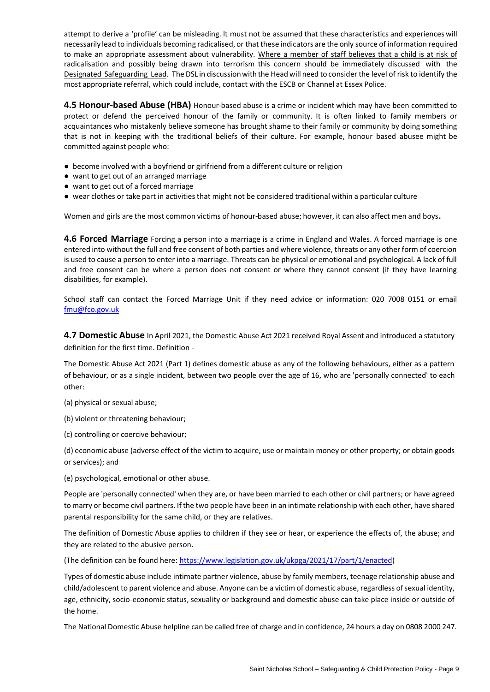attempt to derive a 'profile' can be misleading. lt must not be assumed that these characteristics and experiences will necessarily lead to individuals becoming radicalised, or that these indicators are the only source of information required to make an appropriate assessment about vulnerability. Where a member of staff believes that a child is at risk of radicalisation and possibly being drawn into terrorism this concern should be immediately discussed with the Designated Safeguarding Lead. TheDSL in discussionwith the Head will need to consider the level of risk to identify the most appropriate referral, which could include, contact with the ESCB or Channel at Essex Police.

**4.5 Honour-based Abuse (HBA)** Honour-based abuse is a crime or incident which may have been committed to protect or defend the perceived honour of the family or community. It is often linked to family members or acquaintances who mistakenly believe someone has brought shame to their family or community by doing something that is not in keeping with the traditional beliefs of their culture. For example, honour based abusee might be committed against people who:

- become involved with a boyfriend or girlfriend from a different culture or religion
- want to get out of an arranged marriage
- want to get out of a forced marriage
- wear clothes or take part in activities that might not be considered traditional within a particular culture

Women and girls are the most common victims of honour-based abuse; however, it can also affect men and boys**.**

**4.6 Forced Marriage** Forcing a person into a marriage is a crime in England and Wales. A forced marriage is one entered into without the full and free consent of both parties and where violence, threats or any other form of coercion is used to cause a person to enter into a marriage. Threats can be physical or emotional and psychological. A lack of full and free consent can be where a person does not consent or where they cannot consent (if they have learning disabilities, for example).

School staff can contact the Forced Marriage Unit if they need advice or information: 020 7008 0151 or email [fmu@fco.gov.uk](mailto:fmu@fco.gov.uk)

**4.7 Domestic Abuse** In April 2021, the Domestic Abuse Act 2021 received Royal Assent and introduced a statutory definition for the first time. Definition -

The Domestic Abuse Act 2021 (Part 1) defines domestic abuse as any of the following behaviours, either as a pattern of behaviour, or as a single incident, between two people over the age of 16, who are 'personally connected' to each other:

(a) physical or sexual abuse;

(b) violent or threatening behaviour;

(c) controlling or coercive behaviour;

(d) economic abuse (adverse effect of the victim to acquire, use or maintain money or other property; or obtain goods or services); and

(e) psychological, emotional or other abuse.

People are 'personally connected' when they are, or have been married to each other or civil partners; or have agreed to marry or become civil partners. If the two people have been in an intimate relationship with each other, have shared parental responsibility for the same child, or they are relatives.

The definition of Domestic Abuse applies to children if they see or hear, or experience the effects of, the abuse; and they are related to the abusive person.

(The definition can be found here: [https://www.legislation.gov.uk/ukpga/2021/17/part/1/enacted\)](https://www.legislation.gov.uk/ukpga/2021/17/part/1/enacted)

Types of domestic abuse include intimate partner violence, abuse by family members, teenage relationship abuse and child/adolescent to parent violence and abuse. Anyone can be a victim of domestic abuse, regardless of sexual identity, age, ethnicity, socio-economic status, sexuality or background and domestic abuse can take place inside or outside of the home.

The National Domestic Abuse helpline can be called free of charge and in confidence, 24 hours a day on 0808 2000 247.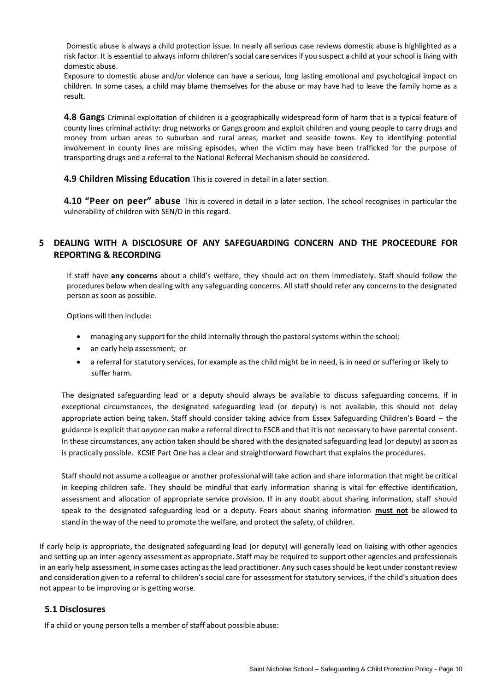Domestic abuse is always a child protection issue. In nearly all serious case reviews domestic abuse is highlighted as a risk factor. It is essential to always inform children's social care services if you suspect a child at your school is living with domestic abuse.

Exposure to domestic abuse and/or violence can have a serious, long lasting emotional and psychological impact on children. In some cases, a child may blame themselves for the abuse or may have had to leave the family home as a result.

**4.8 Gangs** Criminal exploitation of children is a geographically widespread form of harm that is a typical feature of county lines criminal activity: drug networks or Gangs groom and exploit children and young people to carry drugs and money from urban areas to suburban and rural areas, market and seaside towns. Key to identifying potential involvement in county lines are missing episodes, when the victim may have been trafficked for the purpose of transporting drugs and a referral to the National Referral Mechanism should be considered.

**4.9 Children Missing Education** This is covered in detail in a later section.

**4.10 "Peer on peer" abuse** This is covered in detail in a later section. The school recognises in particular the vulnerability of children with SEN/D in this regard.

# **5 DEALING WITH A DISCLOSURE OF ANY SAFEGUARDING CONCERN AND THE PROCEEDURE FOR REPORTING & RECORDING**

If staff have **any concerns** about a child's welfare, they should act on them immediately. Staff should follow the procedures below when dealing with any safeguarding concerns. All staffshould refer any concerns to the designated person as soon as possible.

Options will then include:

- managing any support for the child internally through the pastoral systems within the school;
- an early help assessment; or
- a referral for statutory services, for example as the child might be in need, is in need or suffering or likely to suffer harm.

The designated safeguarding lead or a deputy should always be available to discuss safeguarding concerns. If in exceptional circumstances, the designated safeguarding lead (or deputy) is not available, this should not delay appropriate action being taken. Staff should consider taking advice from Essex Safeguarding Children's Board – the guidance is explicit that *anyone* can make a referral direct to ESCB and that it is not necessary to have parental consent. In these circumstances, any action taken should be shared with the designated safeguarding lead (or deputy) as soon as is practically possible. KCSIE Part One has a clear and straightforward flowchart that explains the procedures.

Staffshould not assume a colleague or another professional will take action and share information that might be critical in keeping children safe. They should be mindful that early information sharing is vital for effective identification, assessment and allocation of appropriate service provision. If in any doubt about sharing information, staff should speak to the designated safeguarding lead or a deputy. Fears about sharing information **must not** be allowed to stand in the way of the need to promote the welfare, and protect the safety, of children.

If early help is appropriate, the designated safeguarding lead (or deputy) will generally lead on liaising with other agencies and setting up an inter-agency assessment as appropriate. Staff may be required to support other agencies and professionals in an early help assessment, in some cases acting as the lead practitioner. Any such cases should be kept under constant review and consideration given to a referral to children's social care for assessment for statutory services, if the child's situation does not appear to be improving or is getting worse.

# **5.1 Disclosures**

If a child or young person tells a member of staff about possible abuse: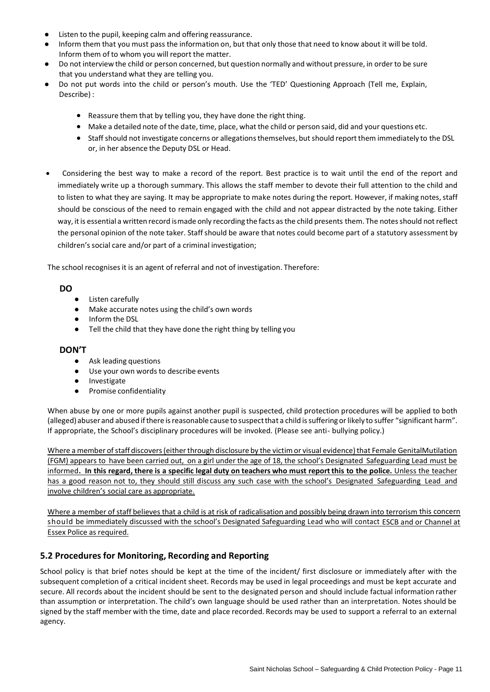- Listen to the pupil, keeping calm and offering reassurance.
- Inform them that you must pass the information on, but that only those that need to know about it will be told. Inform them of to whom you will report the matter.
- Do not interview the child or person concerned, but question normally and without pressure, in order to be sure that you understand what they are telling you.
- Do not put words into the child or person's mouth. Use the 'TED' Questioning Approach (Tell me, Explain, Describe) :
	- Reassure them that by telling you, they have done the right thing.
	- Make a detailed note of the date, time, place, what the child or person said, did and your questions etc.
	- Staff should not investigate concerns or allegations themselves, but should report them immediately to the DSL or, in her absence the Deputy DSL or Head.
- Considering the best way to make a record of the report. Best practice is to wait until the end of the report and immediately write up a thorough summary. This allows the staff member to devote their full attention to the child and to listen to what they are saying. It may be appropriate to make notes during the report. However, if making notes, staff should be conscious of the need to remain engaged with the child and not appear distracted by the note taking. Either way, it is essential a written record ismade only recording the facts as the child presents them. The notes should not reflect the personal opinion of the note taker. Staff should be aware that notes could become part of a statutory assessment by children's social care and/or part of a criminal investigation;

The school recognises it is an agent of referral and not of investigation. Therefore:

## **DO**

- Listen carefully
- Make accurate notes using the child's own words
- Inform the DSL
- Tell the child that they have done the right thing by telling you

#### **DON'T**

- Ask leading questions
- Use your own words to describe events
- Investigate
- Promise confidentiality

When abuse by one or more pupils against another pupil is suspected, child protection procedures will be applied to both (alleged) abuser and abused if there is reasonable cause to suspect that a child is suffering or likely to suffer "significant harm". If appropriate, the School's disciplinary procedures will be invoked. (Please see anti- bullying policy.)

Where a member of staff discovers (either through disclosure by the victim or visual evidence) that Female GenitalMutilation (FGM) appears to have been carried out, on a girl under the age of 18, the school's Designated Safeguarding Lead must be informed. In this regard, there is a specific legal duty on teachers who must report this to the police. Unless the teacher has a good reason not to, they should still discuss any such case with the school's Designated Safeguarding Lead and involve children's social care as appropriate.

Where a member of staff believes that a child is at risk of radicalisation and possibly being drawn into terrorism this concern should be immediately discussed with the school's Designated Safeguarding Lead who will contact ESCB and or Channel at Essex Police as required.

## **5.2 Procedures for Monitoring, Recording and Reporting**

School policy is that brief notes should be kept at the time of the incident/ first disclosure or immediately after with the subsequent completion of a critical incident sheet. Records may be used in legal proceedings and must be kept accurate and secure. All records about the incident should be sent to the designated person and should include factual information rather than assumption or interpretation. The child's own language should be used rather than an interpretation. Notes should be signed by the staff member with the time, date and place recorded. Records may be used to support a referral to an external agency.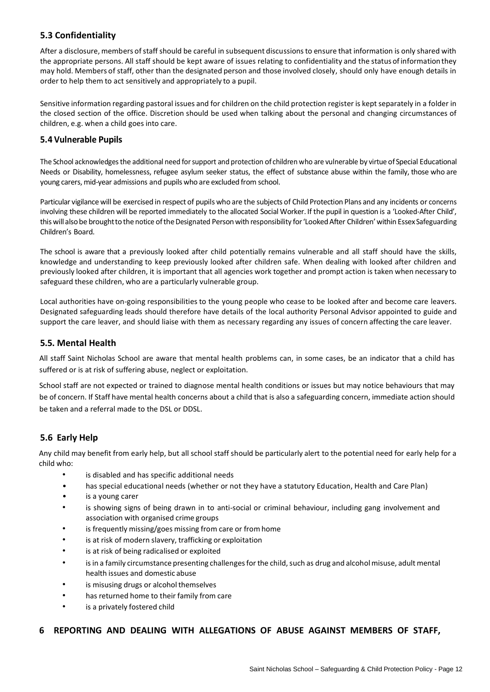# **5.3 Confidentiality**

After a disclosure, members of staffshould be careful in subsequent discussionsto ensure that information is only shared with the appropriate persons. All staff should be kept aware of issues relating to confidentiality and the status ofinformationthey may hold. Members of staff, other than the designated person and those involved closely, should only have enough details in order to help them to act sensitively and appropriately to a pupil.

Sensitive information regarding pastoral issues and for children on the child protection register is keptseparately in a folder in the closed section of the office. Discretion should be used when talking about the personal and changing circumstances of children, e.g. when a child goes into care.

# **5.4 Vulnerable Pupils**

The School acknowledgesthe additional need forsupport and protection of children who are vulnerable by virtue of Special Educational Needs or Disability, homelessness, refugee asylum seeker status, the effect of substance abuse within the family, those who are young carers, mid-year admissions and pupils who are excluded from school.

Particular vigilance will be exercised in respect of pupils who are the subjects of Child Protection Plans and any incidents or concerns involving these children will be reported immediately to the allocated Social Worker. If the pupil in question is a 'Looked-After Child', this will also be brought to the notice of the Designated Person with responsibility for 'Looked After Children' within Essex Safeguarding Children's Board.

The school is aware that a previously looked after child potentially remains vulnerable and all staff should have the skills, knowledge and understanding to keep previously looked after children safe. When dealing with looked after children and previously looked after children, it is important that all agencies work together and prompt action is taken when necessary to safeguard these children, who are a particularly vulnerable group.

Local authorities have on-going responsibilities to the young people who cease to be looked after and become care leavers. Designated safeguarding leads should therefore have details of the local authority Personal Advisor appointed to guide and support the care leaver, and should liaise with them as necessary regarding any issues of concern affecting the care leaver.

# **5.5. Mental Health**

All staff Saint Nicholas School are aware that mental health problems can, in some cases, be an indicator that a child has suffered or is at risk of suffering abuse, neglect or exploitation.

School staff are not expected or trained to diagnose mental health conditions or issues but may notice behaviours that may be of concern. If Staff have mental health concerns about a child that is also a safeguarding concern, immediate action should be taken and a referral made to the DSL or DDSL.

# **5.6 Early Help**

Any child may benefit from early help, but all school staff should be particularly alert to the potential need for early help for a child who:

- is disabled and has specific additional needs
- has special educational needs (whether or not they have a statutory Education, Health and Care Plan)
- is a young carer
- is showing signs of being drawn in to anti-social or criminal behaviour, including gang involvement and association with organised crime groups
- is frequently missing/goes missing from care or from home
- is at risk of modern slavery, trafficking or exploitation
- is at risk of being radicalised or exploited
- is in a family circumstance presenting challenges for the child, such as drug and alcohol misuse, adult mental health issues and domestic abuse
- is misusing drugs or alcohol themselves
- has returned home to their family from care
- is a privately fostered child

# **6 REPORTING AND DEALING WITH ALLEGATIONS OF ABUSE AGAINST MEMBERS OF STAFF,**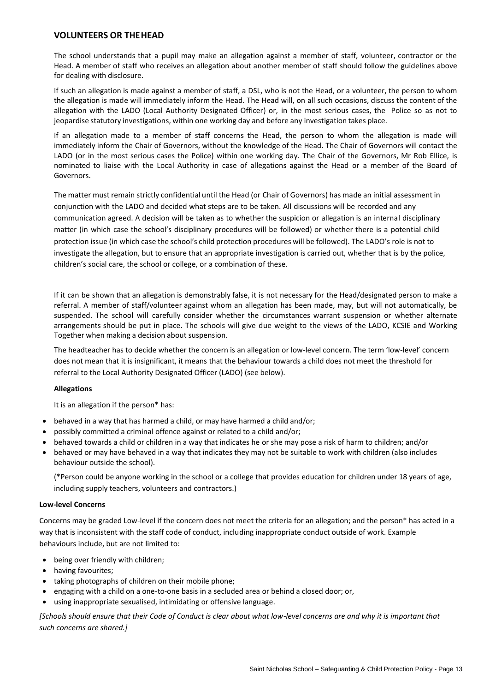## **VOLUNTEERS OR THEHEAD**

The school understands that a pupil may make an allegation against a member of staff, volunteer, contractor or the Head. A member of staff who receives an allegation about another member of staff should follow the guidelines above for dealing with disclosure.

If such an allegation is made against a member of staff, a DSL, who is not the Head, or a volunteer, the person to whom the allegation is made will immediately inform the Head. The Head will, on all such occasions, discuss the content of the allegation with the LADO (Local Authority Designated Officer) or, in the most serious cases, the Police so as not to jeopardise statutory investigations, within one working day and before any investigation takes place.

If an allegation made to a member of staff concerns the Head, the person to whom the allegation is made will immediately inform the Chair of Governors, without the knowledge of the Head. The Chair of Governors will contact the LADO (or in the most serious cases the Police) within one working day. The Chair of the Governors, Mr Rob Ellice, is nominated to liaise with the Local Authority in case of allegations against the Head or a member of the Board of Governors.

The matter must remain strictly confidential until the Head (or Chair of Governors) has made an initial assessment in conjunction with the LADO and decided what steps are to be taken. All discussions will be recorded and any communication agreed. A decision will be taken as to whether the suspicion or allegation is an internal disciplinary matter (in which case the school's disciplinary procedures will be followed) or whether there is a potential child protection issue (in which case the school's child protection procedures will be followed). The LADO's role is not to investigate the allegation, but to ensure that an appropriate investigation is carried out, whether that is by the police, children's social care, the school or college, or a combination of these.

If it can be shown that an allegation is demonstrably false, it is not necessary for the Head/designated person to make a referral. A member of staff/volunteer against whom an allegation has been made, may, but will not automatically, be suspended. The school will carefully consider whether the circumstances warrant suspension or whether alternate arrangements should be put in place. The schools will give due weight to the views of the LADO, KCSIE and Working Together when making a decision about suspension.

The headteacher has to decide whether the concern is an allegation or low-level concern. The term 'low-level' concern does not mean that it is insignificant, it means that the behaviour towards a child does not meet the threshold for referral to the Local Authority Designated Officer (LADO) (see below).

#### **Allegations**

It is an allegation if the person\* has:

- behaved in a way that has harmed a child, or may have harmed a child and/or;
- possibly committed a criminal offence against or related to a child and/or;
- behaved towards a child or children in a way that indicates he or she may pose a risk of harm to children; and/or
- behaved or may have behaved in a way that indicates they may not be suitable to work with children (also includes behaviour outside the school).

(\*Person could be anyone working in the school or a college that provides education for children under 18 years of age, including supply teachers, volunteers and contractors.)

#### **Low-level Concerns**

Concerns may be graded Low-level if the concern does not meet the criteria for an allegation; and the person\* has acted in a way that is inconsistent with the staff code of conduct, including inappropriate conduct outside of work. Example behaviours include, but are not limited to:

- being over friendly with children;
- having favourites;
- taking photographs of children on their mobile phone;
- engaging with a child on a one-to-one basis in a secluded area or behind a closed door; or,
- using inappropriate sexualised, intimidating or offensive language.

*[Schools should ensure that their Code of Conduct is clear about what low-level concerns are and why it is important that such concerns are shared.]*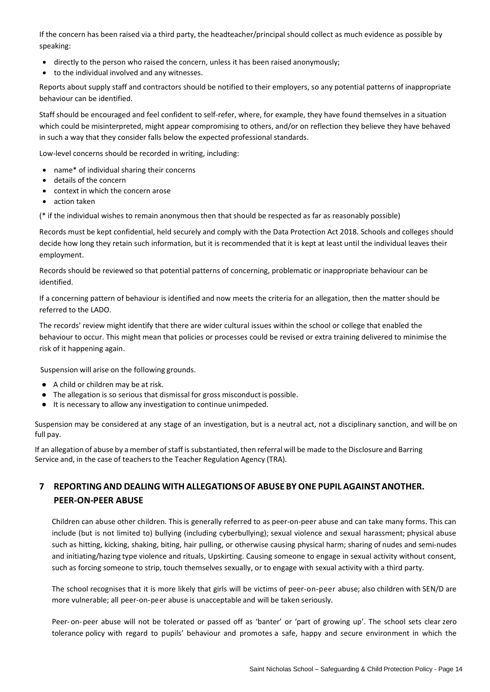If the concern has been raised via a third party, the headteacher/principal should collect as much evidence as possible by speaking:

- directly to the person who raised the concern, unless it has been raised anonymously;
- to the individual involved and any witnesses.

Reports about supply staff and contractors should be notified to their employers, so any potential patterns of inappropriate behaviour can be identified.

Staff should be encouraged and feel confident to self-refer, where, for example, they have found themselves in a situation which could be misinterpreted, might appear compromising to others, and/or on reflection they believe they have behaved in such a way that they consider falls below the expected professional standards.

Low-level concerns should be recorded in writing, including:

- name\* of individual sharing their concerns
- details of the concern
- context in which the concern arose
- action taken

(\* if the individual wishes to remain anonymous then that should be respected as far as reasonably possible)

Records must be kept confidential, held securely and comply with the Data Protection Act 2018. Schools and colleges should decide how long they retain such information, but it is recommended that it is kept at least until the individual leaves their employment.

Records should be reviewed so that potential patterns of concerning, problematic or inappropriate behaviour can be identified.

If a concerning pattern of behaviour is identified and now meets the criteria for an allegation, then the matter should be referred to the LADO.

The records' review might identify that there are wider cultural issues within the school or college that enabled the behaviour to occur. This might mean that policies or processes could be revised or extra training delivered to minimise the risk of it happening again.

Suspension will arise on the following grounds.

- A child or children may be at risk.
- The allegation is so serious that dismissal for gross misconduct is possible.
- It is necessary to allow any investigation to continue unimpeded.

Suspension may be considered at any stage of an investigation, but is a neutral act, not a disciplinary sanction, and will be on full pay.

If an allegation of abuse by a member of staff is substantiated, then referral will be made to the Disclosure and Barring Service and, in the case of teachers to the Teacher Regulation Agency (TRA).

# **7 REPORTINGAND DEALING WITH ALLEGATIONSOF ABUSEBYONE PUPIL AGAINSTANOTHER. PEER-ON-PEER ABUSE**

Children can abuse other children. This is generally referred to as peer-on-peer abuse and can take many forms. This can include (but is not limited to) bullying (including cyberbullying); sexual violence and sexual harassment; physical abuse such as hitting, kicking, shaking, biting, hair pulling, or otherwise causing physical harm; sharing of nudes and semi-nudes and initiating/hazing type violence and rituals, Upskirting. Causing someone to engage in sexual activity without consent, such as forcing someone to strip, touch themselves sexually, or to engage with sexual activity with a third party.

The school recognises that it is more likely that girls will be victims of peer-on-peer abuse; also children with SEN/D are more vulnerable; all peer-on-peer abuse is unacceptable and will be taken seriously.

Peer-on-peer abuse will not be tolerated or passed off as 'banter' or 'part of growing up'. The school sets clear zero tolerance policy with regard to pupils' behaviour and promotes a safe, happy and secure environment in which the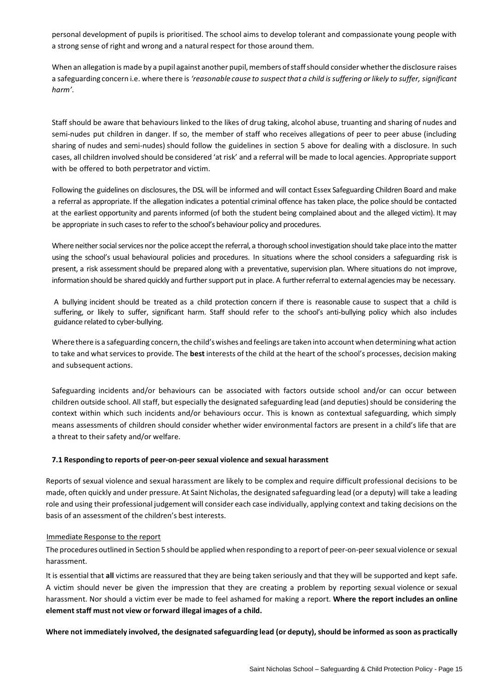personal development of pupils is prioritised. The school aims to develop tolerant and compassionate young people with a strong sense of right and wrong and a natural respect for those around them.

When an allegation is made by a pupil against another pupil, members of staff should consider whether the disclosure raises a safeguarding concern i.e. where there is *'reasonable cause to suspectthat a child is suffering or likely to suffer, significant harm'*.

Staff should be aware that behaviours linked to the likes of drug taking, alcohol abuse, truanting and sharing of nudes and semi-nudes put children in danger. If so, the member of staff who receives allegations of peer to peer abuse (including sharing of nudes and semi-nudes) should follow the guidelines in section 5 above for dealing with a disclosure. In such cases, all children involved should be considered 'at risk' and a referral will be made to local agencies. Appropriate support with be offered to both perpetrator and victim.

Following the guidelines on disclosures, the DSL will be informed and will contact Essex Safeguarding Children Board and make a referral as appropriate. If the allegation indicates a potential criminal offence has taken place, the police should be contacted at the earliest opportunity and parents informed (of both the student being complained about and the alleged victim). It may be appropriate in such casesto referto the school's behaviour policy and procedures.

Where neither social services nor the police accept the referral, a thorough school investigation should take place into the matter using the school's usual behavioural policies and procedures. In situations where the school considers a safeguarding risk is present, a risk assessment should be prepared along with a preventative, supervision plan. Where situations do not improve, information should be shared quickly and further support put in place. A further referral to external agencies may be necessary.

A bullying incident should be treated as a child protection concern if there is reasonable cause to suspect that a child is suffering, or likely to suffer, significant harm. Staff should refer to the school's anti-bullying policy which also includes guidance related to cyber-bullying.

Where there is a safeguarding concern, the child's wishes and feelings are taken into account when determining what action to take and what services to provide. The best interests of the child at the heart of the school's processes, decision making and subsequent actions.

Safeguarding incidents and/or behaviours can be associated with factors outside school and/or can occur between children outside school. All staff, but especially the designated safeguarding lead (and deputies) should be considering the context within which such incidents and/or behaviours occur. This is known as contextual safeguarding, which simply means assessments of children should consider whether wider environmental factors are present in a child's life that are a threat to their safety and/or welfare.

#### **7.1 Responding to reports of peer-on-peer sexual violence and sexual harassment**

Reports of sexual violence and sexual harassment are likely to be complex and require difficult professional decisions to be made, often quickly and under pressure. At Saint Nicholas, the designated safeguarding lead (or a deputy) will take a leading role and using their professional judgement will consider each case individually, applying context and taking decisions on the basis of an assessment of the children's best interests.

## Immediate Response to the report

The procedures outlined in Section 5 should be applied when responding to a report of peer-on-peer sexual violence or sexual harassment.

It is essential that **all** victims are reassured that they are being taken seriously and that they will be supported and kept safe. A victim should never be given the impression that they are creating a problem by reporting sexual violence or sexual harassment. Nor should a victim ever be made to feel ashamed for making a report. **Where the report includes an online element staff must not view or forward illegal images of a child.**

**Where not immediately involved, the designated safeguarding lead (or deputy),should be informed as soon as practically**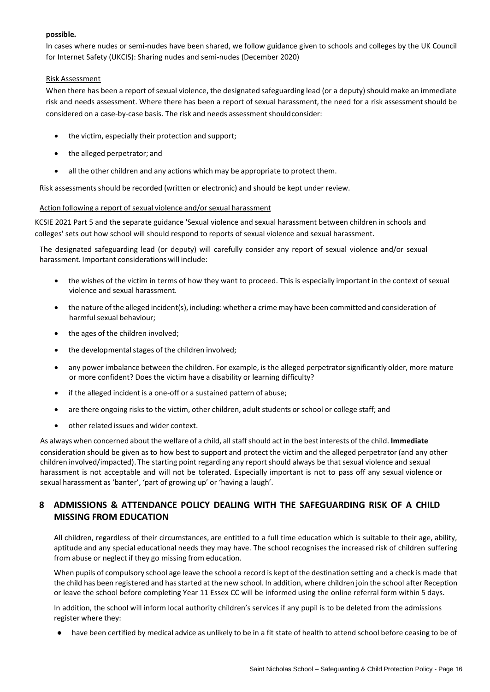#### **possible.**

In cases where nudes or semi-nudes have been shared, we follow guidance given to schools and colleges by the UK Council for Internet Safety (UKCIS): Sharing nudes and semi-nudes (December 2020)

#### Risk Assessment

When there has been a report of sexual violence, the designated safeguarding lead (or a deputy) should make an immediate risk and needs assessment. Where there has been a report of sexual harassment, the need for a risk assessmentshould be considered on a case-by-case basis. The risk and needs assessment shouldconsider:

- the victim, especially their protection and support;
- the alleged perpetrator; and
- all the other children and any actions which may be appropriate to protect them.

Risk assessments should be recorded (written or electronic) and should be kept under review.

#### Action following a report of sexual violence and/or sexual harassment

KCSIE 2021 Part 5 and the separate guidance 'Sexual violence and sexual harassment between children in schools and colleges' sets out how school will should respond to reports of sexual violence and sexual harassment.

The designated safeguarding lead (or deputy) will carefully consider any report of sexual violence and/or sexual harassment. Important considerations will include:

- the wishes of the victim in terms of how they want to proceed. This is especially important in the context of sexual violence and sexual harassment.
- the nature of the alleged incident(s), including: whether a crime may have been committed and consideration of harmful sexual behaviour;
- the ages of the children involved;
- the developmental stages of the children involved;
- any power imbalance between the children. For example, is the alleged perpetratorsignificantly older, more mature or more confident? Does the victim have a disability or learning difficulty?
- if the alleged incident is a one-off or a sustained pattern of abuse;
- are there ongoing risks to the victim, other children, adult students or school or college staff; and
- other related issues and wider context.

As always when concerned about the welfare of a child, all staff should act in the best interests of the child. Immediate consideration should be given as to how best to support and protect the victim and the alleged perpetrator (and any other children involved/impacted). The starting point regarding any reportshould always be that sexual violence and sexual harassment is not acceptable and will not be tolerated. Especially important is not to pass off any sexual violence or sexual harassment as 'banter', 'part of growing up' or 'having a laugh'.

# **8 ADMISSIONS & ATTENDANCE POLICY DEALING WITH THE SAFEGUARDING RISK OF A CHILD MISSING FROM EDUCATION**

All children, regardless of their circumstances, are entitled to a full time education which is suitable to their age, ability, aptitude and any special educational needs they may have. The school recognises the increased risk of children suffering from abuse or neglect if they go missing from education.

When pupils of compulsory school age leave the school a record is kept of the destination setting and a check is made that the child has been registered and hasstarted at the new school. In addition, where children join the school after Reception or leave the school before completing Year 11 Essex CC will be informed using the online referral form within 5 days.

In addition, the school will inform local authority children's services if any pupil is to be deleted from the admissions register where they:

have been certified by medical advice as unlikely to be in a fit state of health to attend school before ceasing to be of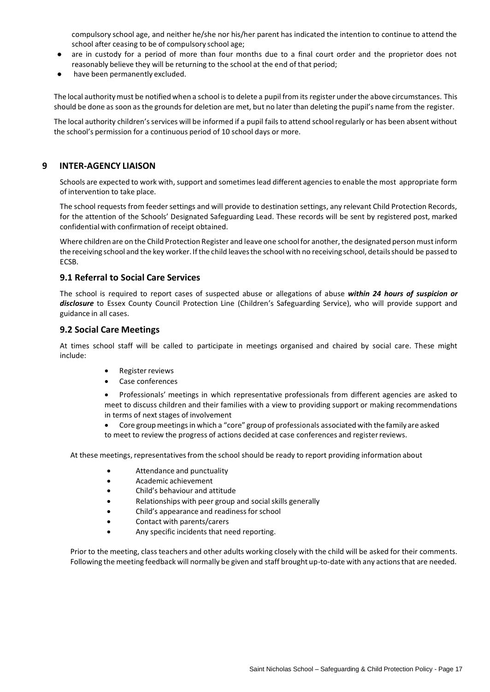compulsory school age, and neither he/she nor his/her parent has indicated the intention to continue to attend the school after ceasing to be of compulsory school age;

- are in custody for a period of more than four months due to a final court order and the proprietor does not reasonably believe they will be returning to the school at the end of that period;
- have been permanently excluded.

The local authoritymust be notified when a school is to delete a pupil from its register underthe above circumstances. This should be done as soon as the grounds for deletion are met, but no later than deleting the pupil's name from the register.

The local authority children's services will be informed if a pupil fails to attend schoolregularly or has been absent without the school's permission for a continuous period of 10 school days or more.

## **9 INTER-AGENCY LIAISON**

Schools are expected to work with, support and sometimes lead different agencies to enable the most appropriate form of intervention to take place.

The school requests from feeder settings and will provide to destination settings, any relevant Child Protection Records, for the attention of the Schools' Designated Safeguarding Lead. These records will be sent by registered post, marked confidential with confirmation of receipt obtained.

Where children are on the Child Protection Register and leave one school for another, the designated person must inform the receiving school and the key worker.If the child leavesthe school with no receiving school, detailsshould be passed to ECSB.

## **9.1 Referral to Social Care Services**

The school is required to report cases of suspected abuse or allegations of abuse *within 24 hours of suspicion or disclosure* to Essex County Council Protection Line (Children's Safeguarding Service), who will provide support and guidance in all cases.

#### **9.2 Social Care Meetings**

At times school staff will be called to participate in meetings organised and chaired by social care. These might include:

- Register reviews
- Case conferences

• Professionals' meetings in which representative professionals from different agencies are asked to meet to discuss children and their families with a view to providing support or making recommendations in terms of next stages of involvement

• Core group meetings in which a "core" group of professionals associated with the family are asked to meet to review the progress of actions decided at case conferences and registerreviews.

At these meetings, representatives from the school should be ready to report providing information about

- Attendance and punctuality
- Academic achievement
- Child's behaviour and attitude
- Relationships with peer group and socialskills generally
- Child's appearance and readiness for school
- Contact with parents/carers
- Any specific incidents that need reporting.

Prior to the meeting, class teachers and other adults working closely with the child will be asked for their comments. Following the meeting feedback will normally be given and staff brought up-to-date with any actions that are needed.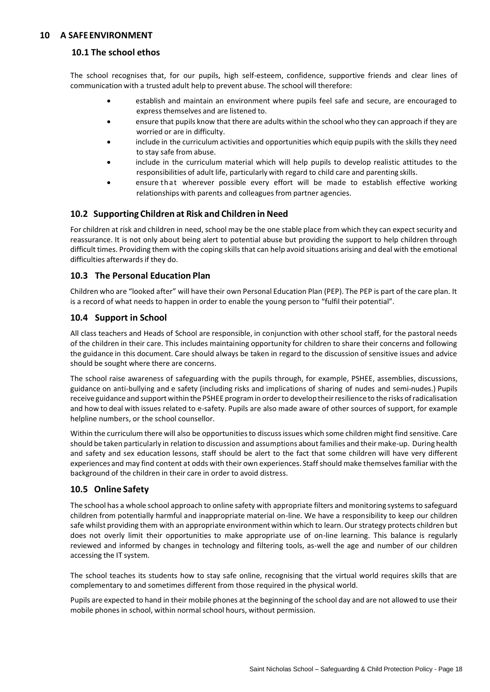# **10.1 The school ethos**

The school recognises that, for our pupils, high self-esteem, confidence, supportive friends and clear lines of communication with a trusted adult help to prevent abuse. The school will therefore:

- establish and maintain an environment where pupils feel safe and secure, are encouraged to express themselves and are listened to.
- ensure that pupils know that there are adults within the school who they can approach if they are worried or are in difficulty.
- include in the curriculum activities and opportunities which equip pupils with the skills they need to stay safe from abuse.
- include in the curriculum material which will help pupils to develop realistic attitudes to the responsibilities of adult life, particularly with regard to child care and parenting skills.
- ensure that wherever possible every effort will be made to establish effective working relationships with parents and colleagues from partner agencies.

# **10.2 Supporting Children at Risk and Children in Need**

For children at risk and children in need, school may be the one stable place from which they can expect security and reassurance. It is not only about being alert to potential abuse but providing the support to help children through difficult times. Providing them with the coping skills that can help avoid situations arising and deal with the emotional difficulties afterwards if they do.

# **10.3 The Personal Education Plan**

Children who are "looked after" will have their own Personal Education Plan (PEP). The PEP is part of the care plan. It is a record of what needs to happen in order to enable the young person to "fulfil their potential".

# **10.4 Support in School**

All class teachers and Heads of School are responsible, in conjunction with other school staff, for the pastoral needs of the children in their care. This includes maintaining opportunity for children to share their concerns and following the guidance in this document. Care should always be taken in regard to the discussion of sensitive issues and advice should be sought where there are concerns.

The school raise awareness of safeguarding with the pupils through, for example, PSHEE, assemblies, discussions, guidance on anti-bullying and e safety (including risks and implications of sharing of nudes and semi-nudes.) Pupils receive guidance and support within the PSHEE programin orderto developtheirresilience to the risks ofradicalisation and how to deal with issues related to e-safety. Pupils are also made aware of other sources of support, for example helpline numbers, or the school counsellor.

Within the curriculum there will also be opportunities to discuss issues which some children might find sensitive. Care should be taken particularly in relation to discussion and assumptions aboutfamilies and theirmake-up. During health and safety and sex education lessons, staff should be alert to the fact that some children will have very different experiences and may find content at odds with their own experiences. Staffshould make themselvesfamiliar with the background of the children in their care in order to avoid distress.

# **10.5 Online Safety**

The school has a whole school approach to online safety with appropriate filters and monitoring systems to safeguard children from potentially harmful and inappropriate material on-line. We have a responsibility to keep our children safe whilst providing them with an appropriate environment within which to learn. Our strategy protects children but does not overly limit their opportunities to make appropriate use of on-line learning. This balance is regularly reviewed and informed by changes in technology and filtering tools, as-well the age and number of our children accessing the IT system.

The school teaches its students how to stay safe online, recognising that the virtual world requires skills that are complementary to and sometimes different from those required in the physical world.

Pupils are expected to hand in their mobile phones at the beginning of the school day and are not allowed to use their mobile phones in school, within normal school hours, without permission.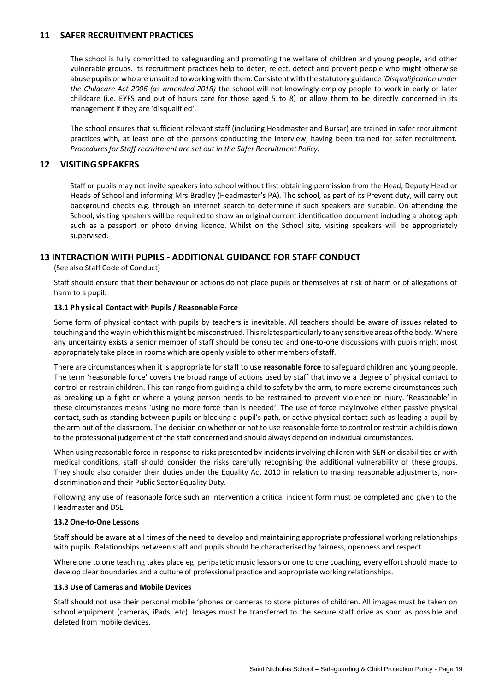## **11 SAFER RECRUITMENT PRACTICES**

The school is fully committed to safeguarding and promoting the welfare of children and young people, and other vulnerable groups. Its recruitment practices help to deter, reject, detect and prevent people who might otherwise abuse pupils or who are unsuited to working with them. Consistentwith the statutory guidance *'Disqualification under the Childcare Act 2006 (as amended 2018)* the school will not knowingly employ people to work in early or later childcare (i.e. EYFS and out of hours care for those aged 5 to 8) or allow them to be directly concerned in its management if they are 'disqualified'.

The school ensures that sufficient relevant staff (including Headmaster and Bursar) are trained in safer recruitment practices with, at least one of the persons conducting the interview, having been trained for safer recruitment. *Proceduresfor Staff recruitment are set out in the Safer Recruitment Policy.*

## **12 VISITINGSPEAKERS**

Staff or pupils may not invite speakers into school without first obtaining permission from the Head, Deputy Head or Heads of School and informing Mrs Bradley (Headmaster's PA). The school, as part of its Prevent duty, will carry out background checks e.g. through an internet search to determine if such speakers are suitable. On attending the School, visiting speakers will be required to show an original current identification document including a photograph such as a passport or photo driving licence. Whilst on the School site, visiting speakers will be appropriately supervised.

## **13 INTERACTION WITH PUPILS - ADDITIONAL GUIDANCE FOR STAFF CONDUCT**

(See also Staff Code of Conduct)

Staff should ensure that their behaviour or actions do not place pupils or themselves at risk of harm or of allegations of harm to a pupil.

#### **13.1 Physical Contact with Pupils / Reasonable Force**

Some form of physical contact with pupils by teachers is inevitable. All teachers should be aware of issues related to touching and the way in which this might be misconstrued. This relates particularly to any sensitive areas of the body. Where any uncertainty exists a senior member of staff should be consulted and one-to-one discussions with pupils might most appropriately take place in rooms which are openly visible to other members of staff.

There are circumstances when it is appropriate for staff to use **reasonable force** to safeguard children and young people. The term 'reasonable force' covers the broad range of actions used by staff that involve a degree of physical contact to control or restrain children. This can range from guiding a child to safety by the arm, to more extreme circumstances such as breaking up a fight or where a young person needs to be restrained to prevent violence or injury. 'Reasonable' in these circumstances means 'using no more force than is needed'. The use of force may involve either passive physical contact, such as standing between pupils or blocking a pupil's path, or active physical contact such as leading a pupil by the arm out of the classroom. The decision on whether or not to use reasonable force to control or restrain a child is down to the professional judgement of the staff concerned and should always depend on individual circumstances.

When using reasonable force in response to risks presented by incidents involving children with SEN or disabilities or with medical conditions, staff should consider the risks carefully recognising the additional vulnerability of these groups. They should also consider their duties under the Equality Act 2010 in relation to making reasonable adjustments, nondiscrimination and their Public Sector Equality Duty.

Following any use of reasonable force such an intervention a critical incident form must be completed and given to the Headmaster and DSL.

#### **13.2 One-to-One Lessons**

Staff should be aware at all times of the need to develop and maintaining appropriate professional working relationships with pupils. Relationships between staff and pupils should be characterised by fairness, openness and respect.

Where one to one teaching takes place eg. peripatetic music lessons or one to one coaching, every effort should made to develop clear boundaries and a culture of professional practice and appropriate working relationships.

#### **13.3 Use of Cameras and Mobile Devices**

Staff should not use their personal mobile 'phones or cameras to store pictures of children. All images must be taken on school equipment (cameras, iPads, etc). Images must be transferred to the secure staff drive as soon as possible and deleted from mobile devices.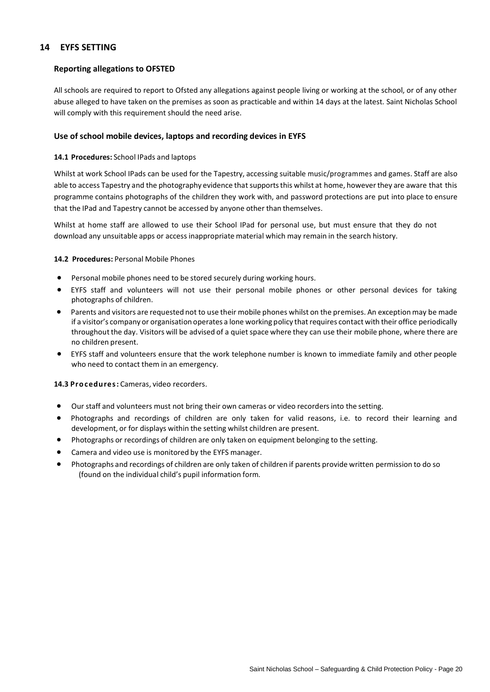# **14 EYFS SETTING**

## **Reporting allegations to OFSTED**

All schools are required to report to Ofsted any allegations against people living or working at the school, or of any other abuse alleged to have taken on the premises as soon as practicable and within 14 days at the latest. Saint Nicholas School will comply with this requirement should the need arise.

## **Use of school mobile devices, laptops and recording devices in EYFS**

#### **14.1 Procedures:** School IPads and laptops

Whilst at work School IPads can be used for the Tapestry, accessing suitable music/programmes and games. Staff are also able to access Tapestry and the photography evidence that supports this whilst at home, however they are aware that this programme contains photographs of the children they work with, and password protections are put into place to ensure that the IPad and Tapestry cannot be accessed by anyone other than themselves.

Whilst at home staff are allowed to use their School IPad for personal use, but must ensure that they do not download any unsuitable apps or access inappropriate material which may remain in the search history.

**14.2 Procedures:** Personal Mobile Phones

- Personal mobile phones need to be stored securely during working hours.
- EYFS staff and volunteers will not use their personal mobile phones or other personal devices for taking photographs of children.
- Parents and visitors are requested not to use their mobile phones whilst on the premises. An exception may be made if a visitor's company or organisation operates a lone working policy that requires contact with their office periodically throughout the day. Visitors will be advised of a quiet space where they can use their mobile phone, where there are no children present.
- EYFS staff and volunteers ensure that the work telephone number is known to immediate family and other people who need to contact them in an emergency.

**14.3 Procedures:** Cameras, video recorders.

- Our staff and volunteers must not bring their own cameras or video recordersinto the setting.
- Photographs and recordings of children are only taken for valid reasons, i.e. to record their learning and development, or for displays within the setting whilst children are present.
- Photographs or recordings of children are only taken on equipment belonging to the setting.
- Camera and video use is monitored by the EYFS manager.
- Photographs and recordings of children are only taken of children if parents provide written permission to do so (found on the individual child's pupil information form.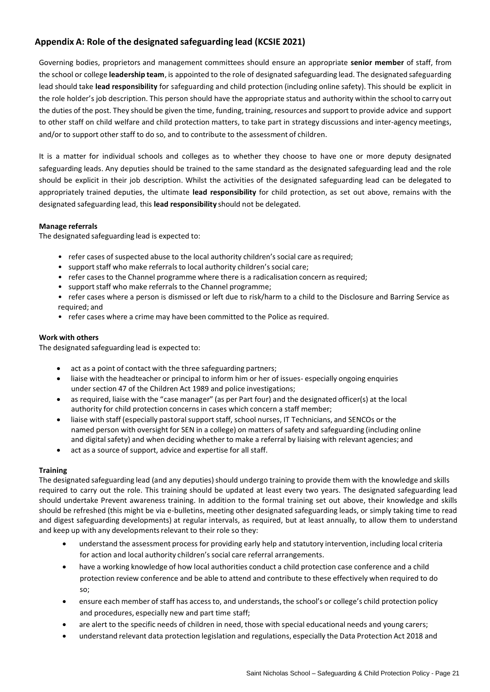# **Appendix A: Role of the designated safeguarding lead (KCSIE 2021)**

Governing bodies, proprietors and management committees should ensure an appropriate **senior member** of staff, from the school or college **leadership team**, is appointed to the role of designated safeguarding lead. The designated safeguarding lead should take **lead responsibility** for safeguarding and child protection (including online safety). This should be explicit in the role holder's job description. This person should have the appropriate status and authority within the schoolto carry out the duties of the post. They should be given the time, funding, training, resources and support to provide advice and support to other staff on child welfare and child protection matters, to take part in strategy discussions and inter-agency meetings, and/or to support other staff to do so, and to contribute to the assessment of children.

It is a matter for individual schools and colleges as to whether they choose to have one or more deputy designated safeguarding leads. Any deputies should be trained to the same standard as the designated safeguarding lead and the role should be explicit in their job description. Whilst the activities of the designated safeguarding lead can be delegated to appropriately trained deputies, the ultimate **lead responsibility** for child protection, as set out above, remains with the designated safeguarding lead, this **lead responsibility** should not be delegated.

#### **Manage referrals**

The designated safeguarding lead is expected to:

- refer cases of suspected abuse to the local authority children's social care as required;
- support staff who make referrals to local authority children's social care;
- refer cases to the Channel programme where there is a radicalisation concern as required;
- support staff who make referrals to the Channel programme;
- refer cases where a person is dismissed or left due to risk/harm to a child to the Disclosure and Barring Service as required; and
- refer cases where a crime may have been committed to the Police as required.

## **Work with others**

The designated safeguarding lead is expected to:

- act as a point of contact with the three safeguarding partners;
- liaise with the headteacher or principal to inform him or her of issues-especially ongoing enquiries under section 47 of the Children Act 1989 and police investigations;
- as required, liaise with the "case manager" (as per Part four) and the designated officer(s) at the local authority for child protection concerns in cases which concern a staff member;
- liaise with staff (especially pastoral support staff, school nurses, IT Technicians, and SENCOs or the named person with oversight for SEN in a college) on matters of safety and safeguarding (including online and digital safety) and when deciding whether to make a referral by liaising with relevant agencies; and
- act as a source of support, advice and expertise for all staff.

## **Training**

The designated safeguarding lead (and any deputies) should undergo training to provide them with the knowledge and skills required to carry out the role. This training should be updated at least every two years. The designated safeguarding lead should undertake Prevent awareness training. In addition to the formal training set out above, their knowledge and skills should be refreshed (this might be via e-bulletins, meeting other designated safeguarding leads, or simply taking time to read and digest safeguarding developments) at regular intervals, as required, but at least annually, to allow them to understand and keep up with any developments relevant to their role so they:

- understand the assessment process for providing early help and statutory intervention, including local criteria for action and local authority children'ssocial care referral arrangements.
- have a working knowledge of how local authorities conduct a child protection case conference and a child protection review conference and be able to attend and contribute to these effectively when required to do so;
- ensure each member of staff has access to, and understands, the school's or college's child protection policy and procedures, especially new and part time staff;
- are alert to the specific needs of children in need, those with special educational needs and young carers;
- understand relevant data protection legislation and regulations, especially the Data Protection Act 2018 and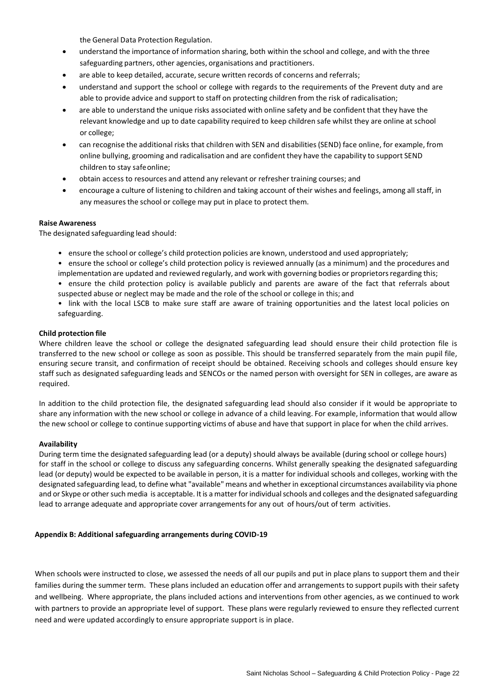the General Data Protection Regulation.

- understand the importance of information sharing, both within the school and college, and with the three safeguarding partners, other agencies, organisations and practitioners.
- are able to keep detailed, accurate, secure written records of concerns and referrals;
- understand and support the school or college with regards to the requirements of the Prevent duty and are able to provide advice and support to staff on protecting children from the risk of radicalisation;
- are able to understand the unique risks associated with online safety and be confident that they have the relevant knowledge and up to date capability required to keep children safe whilst they are online at school or college;
- can recognise the additional risks that children with SEN and disabilities(SEND) face online, for example, from online bullying, grooming and radicalisation and are confident they have the capability to support SEND children to stay safeonline;
- obtain access to resources and attend any relevant or refresher training courses; and
- encourage a culture of listening to children and taking account of their wishes and feelings, among all staff, in any measures the school or college may put in place to protect them.

#### **Raise Awareness**

The designated safeguarding lead should:

- ensure the school or college's child protection policies are known, understood and used appropriately;
- ensure the school or college's child protection policy is reviewed annually (as a minimum) and the procedures and implementation are updated and reviewed regularly, and work with governing bodies or proprietors regarding this;
- ensure the child protection policy is available publicly and parents are aware of the fact that referrals about suspected abuse or neglect may be made and the role of the school or college in this; and
- link with the local LSCB to make sure staff are aware of training opportunities and the latest local policies on safeguarding.

#### **Child protection file**

Where children leave the school or college the designated safeguarding lead should ensure their child protection file is transferred to the new school or college as soon as possible. This should be transferred separately from the main pupil file, ensuring secure transit, and confirmation of receipt should be obtained. Receiving schools and colleges should ensure key staff such as designated safeguarding leads and SENCOs or the named person with oversight for SEN in colleges, are aware as required.

In addition to the child protection file, the designated safeguarding lead should also consider if it would be appropriate to share any information with the new school or college in advance of a child leaving. For example, information that would allow the new school or college to continue supporting victims of abuse and have that support in place for when the child arrives.

#### **Availability**

During term time the designated safeguarding lead (or a deputy) should always be available (during school or college hours) for staff in the school or college to discuss any safeguarding concerns. Whilst generally speaking the designated safeguarding lead (or deputy) would be expected to be available in person, it is a matter for individual schools and colleges, working with the designated safeguarding lead, to define what "available" means and whether in exceptional circumstances availability via phone and or Skype or other such media is acceptable. It is a matter for individual schools and colleges and the designated safeguarding lead to arrange adequate and appropriate cover arrangements for any out of hours/out of term activities.

#### **Appendix B: Additional safeguarding arrangements during COVID-19**

When schools were instructed to close, we assessed the needs of all our pupils and put in place plans to support them and their families during the summer term. These plans included an education offer and arrangements to support pupils with their safety and wellbeing. Where appropriate, the plans included actions and interventions from other agencies, as we continued to work with partners to provide an appropriate level of support. These plans were regularly reviewed to ensure they reflected current need and were updated accordingly to ensure appropriate support is in place.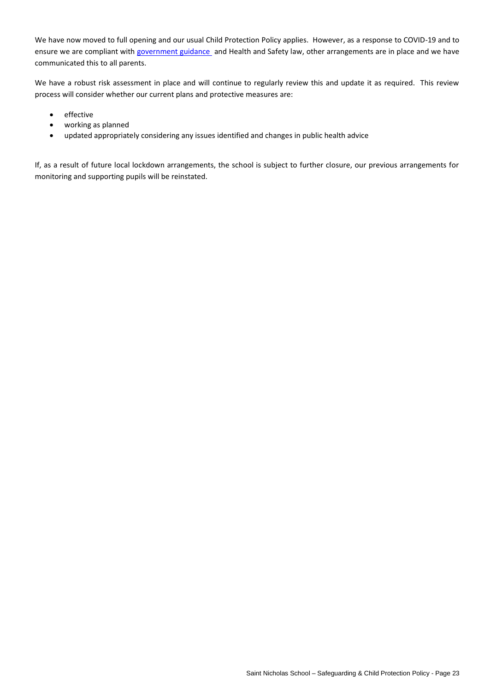We have now moved to full opening and our usual Child Protection Policy applies. However, as a response to COVID-19 and to ensure we are compliant with [government guidance](https://www.gov.uk/government/publications/actions-for-schools-during-the-coronavirus-outbreak/guidance-for-full-opening-schools) and Health and Safety law, other arrangements are in place and we have communicated this to all parents.

We have a robust risk assessment in place and will continue to regularly review this and update it as required. This review process will consider whether our current plans and protective measures are:

- effective
- working as planned
- updated appropriately considering any issues identified and changes in public health advice

If, as a result of future local lockdown arrangements, the school is subject to further closure, our previous arrangements for monitoring and supporting pupils will be reinstated.